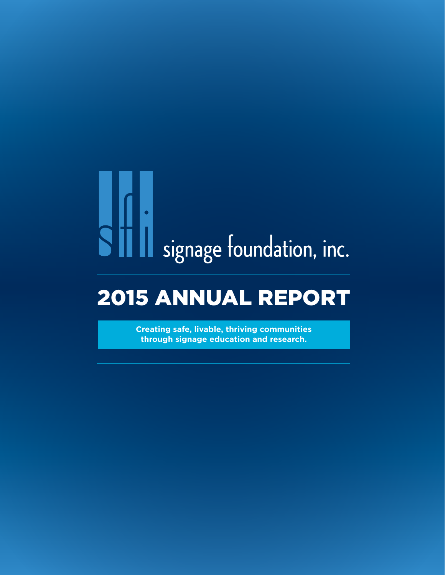# signage foundation, inc.

### 2015 ANNUAL REPORT

**Creating safe, livable, thriving communities through signage education and research.**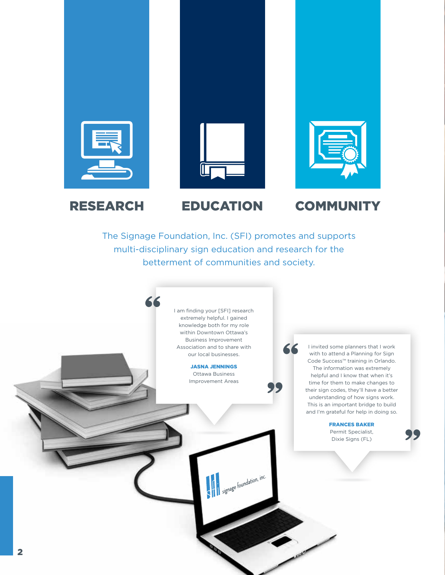





#### RESEARCH EDUCATION COMMUNITY

The Signage Foundation, Inc. (SFI) promotes and supports multi-disciplinary sign education and research for the betterment of communities and society.

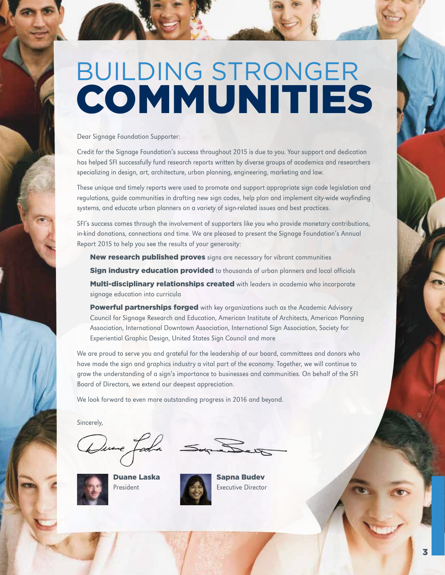### COMMUNITIES BUILDING STRONGER

Dear Signage Foundation Supporter:

Credit for the Signage Foundation's success throughout 2015 is due to you. Your support and dedication has helped SFI successfully fund research reports written by diverse groups of academics and researchers specializing in design, art, architecture, urban planning, engineering, marketing and law.

These unique and timely reports were used to promote and support appropriate sign code legislation and regulations, guide communities in drafting new sign codes, help plan and implement city-wide wayfinding systems, and educate urban planners on a variety of sign-related issues and best practices.

SFI's success comes through the involvement of supporters like you who provide monetary contributions, in-kind donations, connections and time. We are pleased to present the Signage Foundation's Annual Report 2015 to help you see the results of your generosity:

New research published proves signs are necessary for vibrant communities **Sign industry education provided** to thousands of urban planners and local officials Multi-disciplinary relationships created with leaders in academia who incorporate signage education into curricula

Powerful partnerships forged with key organizations such as the Academic Advisory Council for Signage Research and Education, American Institute of Architects, American Planning Association, International Downtown Association, International Sign Association, Society for Experiential Graphic Design, United States Sign Council and more

We are proud to serve you and grateful for the leadership of our board, committees and donors who have made the sign and graphics industry a vital part of the economy. Together, we will continue to grow the understanding of a sign's importance to businesses and communities. On behalf of the SFI Board of Directors, we extend our deepest appreciation.

We look forward to even more outstanding progress in 2016 and beyond.

Sincerely,



Duane Laska President



Sapna Budev Executive Director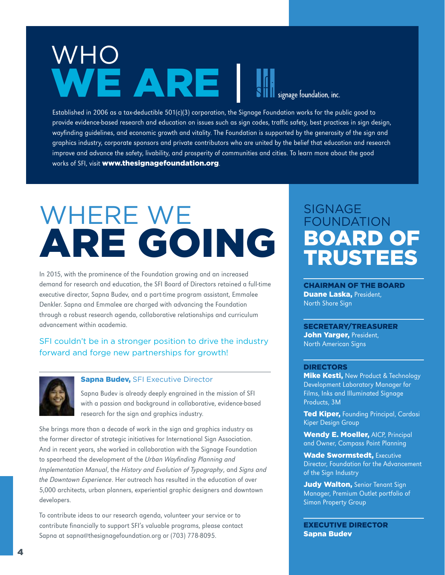### WE ARE WHO

signage foundation, inc.

Established in 2006 as a tax-deductible 501(c)(3) corporation, the Signage Foundation works for the public good to provide evidence-based research and education on issues such as sign codes, traffic safety, best practices in sign design, wayfinding guidelines, and economic growth and vitality. The Foundation is supported by the generosity of the sign and graphics industry, corporate sponsors and private contributors who are united by the belief that education and research improve and advance the safety, livability, and prosperity of communities and cities. To learn more about the good works of SFI, visit www.thesignagefoundation.org.

### ARE GOING WHERE WE

In 2015, with the prominence of the Foundation growing and an increased demand for research and education, the SFI Board of Directors retained a full-time executive director, Sapna Budev, and a part-time program assistant, Emmalee Denkler. Sapna and Emmalee are charged with advancing the Foundation through a robust research agenda, collaborative relationships and curriculum advancement within academia.

#### SFI couldn't be in a stronger position to drive the industry forward and forge new partnerships for growth!



#### **Sapna Budev, SFI Executive Director**

Sapna Budev is already deeply engrained in the mission of SFI with a passion and background in collaborative, evidence-based research for the sign and graphics industry.

She brings more than a decade of work in the sign and graphics industry as the former director of strategic initiatives for International Sign Association. And in recent years, she worked in collaboration with the Signage Foundation to spearhead the development of the Urban Wayfinding Planning and Implementation Manual, the History and Evolution of Typography, and Signs and the Downtown Experience. Her outreach has resulted in the education of over 5,000 architects, urban planners, experiential graphic designers and downtown developers.

To contribute ideas to our research agenda, volunteer your service or to contribute financially to support SFI's valuable programs, please contact Sapna at sapna@thesignagefoundation.org or (703) 778-8095.

#### SIGNAGE FOUNDATION BOARD OF TRUSTEES

CHAIRMAN OF THE BOARD Duane Laska, President, North Shore Sign

SECRETARY/TREASURER John Yarger, President, North American Signs

#### DIRECTORS

**Mike Kesti, New Product & Technology** Development Laboratory Manager for Films, Inks and Illuminated Signage Products, 3M

Ted Kiper, Founding Principal, Cardosi Kiper Design Group

Wendy E. Moeller, AICP, Principal and Owner, Compass Point Planning

Wade Swormstedt, Executive Director, Foundation for the Advancement of the Sign Industry

Judy Walton, Senior Tenant Sign Manager, Premium Outlet portfolio of Simon Property Group

EXECUTIVE DIRECTOR Sapna Budev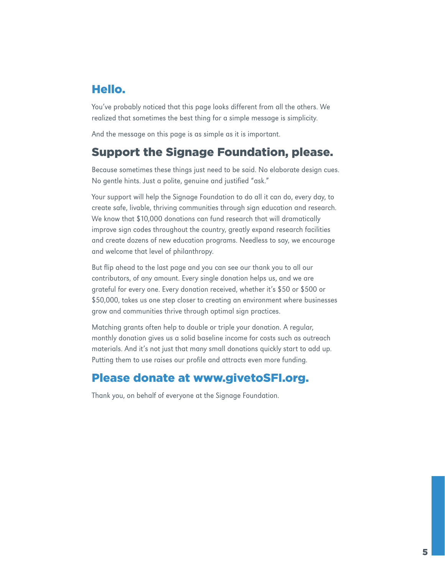#### Hello.

You've probably noticed that this page looks different from all the others. We realized that sometimes the best thing for a simple message is simplicity.

And the message on this page is as simple as it is important.

#### Support the Signage Foundation, please.

Because sometimes these things just need to be said. No elaborate design cues. No gentle hints. Just a polite, genuine and justified "ask."

Your support will help the Signage Foundation to do all it can do, every day, to create safe, livable, thriving communities through sign education and research. We know that \$10,000 donations can fund research that will dramatically improve sign codes throughout the country, greatly expand research facilities and create dozens of new education programs. Needless to say, we encourage and welcome that level of philanthropy.

But flip ahead to the last page and you can see our thank you to all our contributors, of any amount. Every single donation helps us, and we are grateful for every one. Every donation received, whether it's \$50 or \$500 or \$50,000, takes us one step closer to creating an environment where businesses grow and communities thrive through optimal sign practices.

Matching grants often help to double or triple your donation. A regular, monthly donation gives us a solid baseline income for costs such as outreach materials. And it's not just that many small donations quickly start to add up. Putting them to use raises our profile and attracts even more funding.

#### Please donate at www.givetoSFI.org.

Thank you, on behalf of everyone at the Signage Foundation.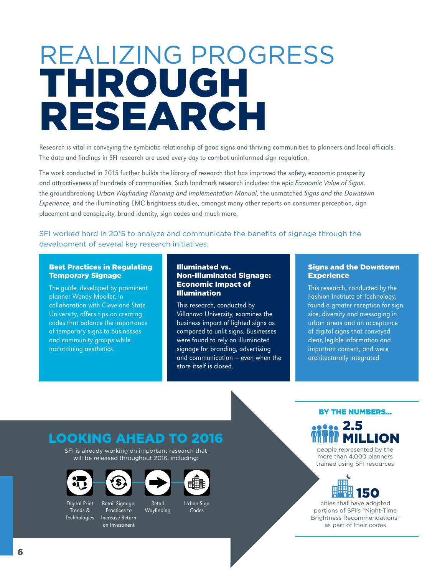### THROUGH RESEARCH REALIZING PROGRESS

Research is vital in conveying the symbiotic relationship of good signs and thriving communities to planners and local officials. The data and findings in SFI research are used every day to combat uninformed sign regulation.

The work conducted in 2015 further builds the library of research that has improved the safety, economic prosperity and attractiveness of hundreds of communities. Such landmark research includes: the epic Economic Value of Signs, the groundbreaking Urban Wayfinding Planning and Implementation Manual, the unmatched Signs and the Downtown Experience, and the illuminating EMC brightness studies, amongst many other reports on consumer perception, sign placement and conspicuity, brand identity, sign codes and much more.

SFI worked hard in 2015 to analyze and communicate the benefits of signage through the development of several key research initiatives:

#### Best Practices in Regulating Temporary Signage

The guide, developed by prominent planner Wendy Moeller, in collaboration with Cleveland State University, offers tips on creating codes that balance the importance of temporary signs to businesses and community groups while maintaining aesthetics.

#### Illuminated vs. Non-Illuminated Signage: Economic Impact of Illumination

This research, conducted by Villanova University, examines the business impact of lighted signs as compared to unlit signs. Businesses were found to rely on illuminated signage for branding, advertising and communication — even when the store itself is closed.

#### Signs and the Downtown **Experience**

This research, conducted by the Fashion Institute of Technology, found a greater reception for sign size, diversity and messaging in urban areas and an acceptance of digital signs that conveyed clear, legible information and important content, and were architecturally integrated.

#### LOOKING AHEAD TO 2016

SFI is already working on important research that will be released throughout 2016, including:





Practices to Increase Return on Investment



Wayfinding

ᄩ脯

Urban Sign Codes

#### BY THE NUMBERS…



people represented by the more than 4,000 planners trained using SFI resources



cities that have adopted portions of SFI's "Night-Time Brightness Recommendations" as part of their codes

Digital Print Trends & Technologies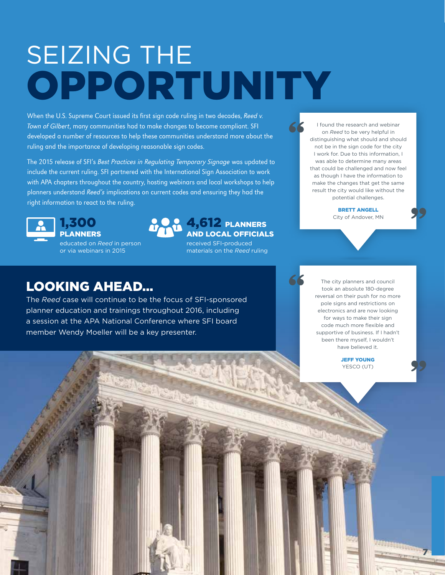### OPPORTUNITY SEIZING THE

When the U.S. Supreme Court issued its first sign code ruling in two decades, Reed v. Town of Gilbert, many communities had to make changes to become compliant. SFI developed a number of resources to help these communities understand more about the ruling and the importance of developing reasonable sign codes.

The 2015 release of SFI's Best Practices in Regulating Temporary Signage was updated to include the current ruling. SFI partnered with the International Sign Association to work with APA chapters throughout the country, hosting webinars and local workshops to help planners understand Reed's implications on current codes and ensuring they had the right information to react to the ruling.



1,300 PLANNERS

educated on *Reed* in person or via webinars in 2015



#### 4,612 PLANNERS AND LOCAL OFFICIALS

received SFI-produced materials on the *Reed* ruling

I found the research and webinar on *Reed* to be very helpful in distinguishing what should and should not be in the sign code for the city I work for. Due to this information, I was able to determine many areas that could be challenged and now feel as though I have the information to make the changes that get the same result the city would like without the potential challenges.

> BRETT ANGELL City of Andover, MN

#### LOOKING AHEAD…

The *Reed* case will continue to be the focus of SFI-sponsored planner education and trainings throughout 2016, including a session at the APA National Conference where SFI board member Wendy Moeller will be a key presenter.

The city planners and council took an absolute 180-degree reversal on their push for no more pole signs and restrictions on electronics and are now looking for ways to make their sign code much more flexible and supportive of business. If I hadn't been there myself, I wouldn't have believed it.

> JEFF YOUNG YESCO (UT)

> > 7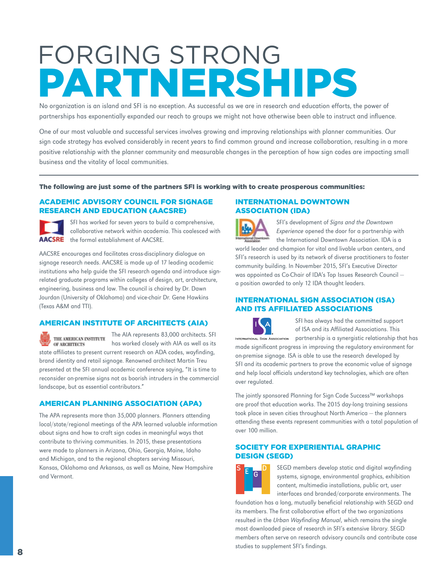### **PTNERSH** FORGING STRONG

No organization is an island and SFI is no exception. As successful as we are in research and education efforts, the power of partnerships has exponentially expanded our reach to groups we might not have otherwise been able to instruct and influence.

One of our most valuable and successful services involves growing and improving relationships with planner communities. Our sign code strategy has evolved considerably in recent years to find common ground and increase collaboration, resulting in a more positive relationship with the planner community and measurable changes in the perception of how sign codes are impacting small business and the vitality of local communities.

#### The following are just some of the partners SFI is working with to create prosperous communities:

#### ACADEMIC ADVISORY COUNCIL FOR SIGNAGE RESEARCH AND EDUCATION (AACSRE)

SFI has worked for seven years to build a comprehensive, collaborative network within academia. This coalesced with AACSRE the formal establishment of AACSRE.

AACSRE encourages and facilitates cross-disciplinary dialogue on signage research needs. AACSRE is made up of 17 leading academic institutions who help guide the SFI research agenda and introduce signrelated graduate programs within colleges of design, art, architecture, engineering, business and law. The council is chaired by Dr. Dawn Jourdan (University of Oklahoma) and vice-chair Dr. Gene Hawkins (Texas A&M and TTI).

#### AMERICAN INSTITUTE OF ARCHITECTS (AIA)

The AIA represents 83,000 architects. SFI THE AMERICAN INSTITUTE has worked closely with AIA as well as its OF ARCHITECTS state affiliates to present current research on ADA codes, wayfinding, brand identity and retail signage. Renowned architect Martin Treu presented at the SFI annual academic conference saying, "It is time to reconsider on-premise signs not as boorish intruders in the commercial landscape, but as essential contributors."

#### AMERICAN PLANNING ASSOCIATION (APA)

The APA represents more than 35,000 planners. Planners attending local/state/regional meetings of the APA learned valuable information about signs and how to craft sign codes in meaningful ways that contribute to thriving communities. In 2015, these presentations were made to planners in Arizona, Ohio, Georgia, Maine, Idaho and Michigan, and to the regional chapters serving Missouri, Kansas, Oklahoma and Arkansas, as well as Maine, New Hampshire and Vermont.

#### INTERNATIONAL DOWNTOWN ASSOCIATION (IDA)

SFI's development of Signs and the Downtown Experience opened the door for a partnership with the International Downtown Association. IDA is a world leader and champion for vital and livable urban centers, and SFI's research is used by its network of diverse practitioners to foster community building. In November 2015, SFI's Executive Director was appointed as Co-Chair of IDA's Top Issues Research Council a position awarded to only 12 IDA thought leaders.

#### INTERNATIONAL SIGN ASSOCIATION (ISA) AND ITS AFFILIATED ASSOCIATIONS

SFI has always had the committed support of ISA and its Affiliated Associations. This INTERNATIONAL SIGN ASSOCIATION partnership is a synergistic relationship that has

made significant progress in improving the regulatory environment for on-premise signage. ISA is able to use the research developed by SFI and its academic partners to prove the economic value of signage and help local officials understand key technologies, which are often over regulated.

The jointly sponsored Planning for Sign Code Success™ workshops are proof that education works. The 2015 day-long training sessions took place in seven cities throughout North America — the planners attending these events represent communities with a total population of over 100 million.

#### SOCIETY FOR EXPERIENTIAL GRAPHIC DESIGN (SEGD)



SEGD members develop static and digital wayfinding systems, signage, environmental graphics, exhibition content, multimedia installations, public art, user interfaces and branded/corporate environments. The

foundation has a long, mutually beneficial relationship with SEGD and its members. The first collaborative effort of the two organizations resulted in the Urban Wayfinding Manual, which remains the single most downloaded piece of research in SFI's extensive library. SEGD members often serve on research advisory councils and contribute case studies to supplement SFI's findings.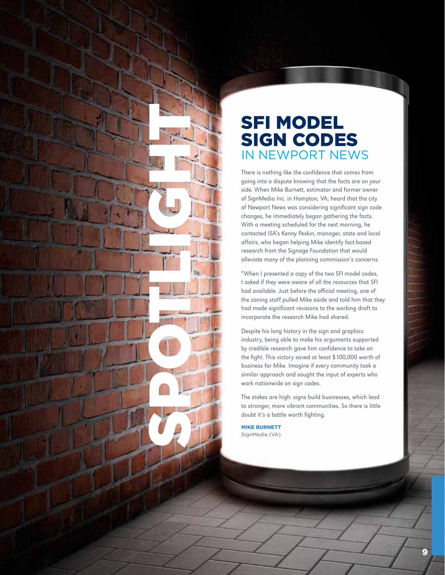

#### SFI MODEL SIGN CODES IN NEWPORT NEWS

There is nothing like the confidence that comes from going into a dispute knowing that the facts are on your side. When Mike Burnett, estimator and former owner of SignMedia Inc. in Hampton, VA, heard that the city of Newport News was considering significant sign code changes, he immediately began gathering the facts. With a meeting scheduled for the next morning, he contacted ISA's Kenny Peskin, manager, state and local affairs, who began helping Mike identify fact-based research from the Signage Foundation that would alleviate many of the planning commission's concerns.

"When I presented a copy of the two SFI model codes, I asked if they were aware of all the resources that SFI had available. Just before the official meeting, one of the zoning staff pulled Mike aside and told him that they had made significant revisions to the working draft to incorporate the research Mike had shared.

Despite his long history in the sign and graphics industry, being able to make his arguments supported by credible research gave him confidence to take on the fight. This victory saved at least \$100,000 worth of business for Mike. Imagine if every community took a similar approach and sought the input of experts who work nationwide on sign codes.

The stakes are high: signs build businesses, which lead to stronger, more vibrant communities. So there is little doubt it's a battle worth fighting.

MIKE BURNETT SignMedia (VA)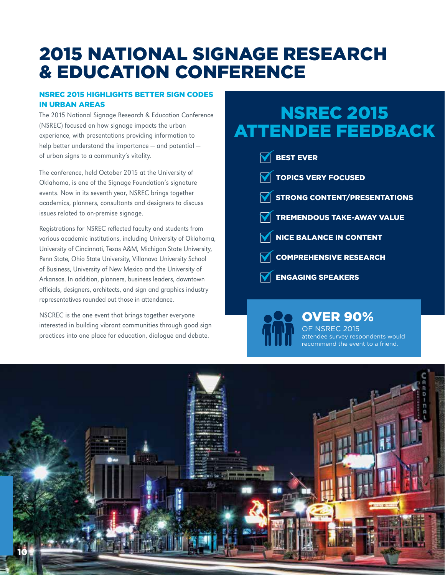#### 2015 NATIONAL SIGNAGE RESEARCH & EDUCATION CONFERENCE

#### NSREC 2015 HIGHLIGHTS BETTER SIGN CODES IN URBAN AREAS

The 2015 National Signage Research & Education Conference (NSREC) focused on how signage impacts the urban experience, with presentations providing information to help better understand the importance — and potential of urban signs to a community's vitality.

The conference, held October 2015 at the University of Oklahoma, is one of the Signage Foundation's signature events. Now in its seventh year, NSREC brings together academics, planners, consultants and designers to discuss issues related to on-premise signage.

Registrations for NSREC reflected faculty and students from various academic institutions, including University of Oklahoma, University of Cincinnati, Texas A&M, Michigan State University, Penn State, Ohio State University, Villanova University School of Business, University of New Mexico and the University of Arkansas. In addition, planners, business leaders, downtown officials, designers, architects, and sign and graphics industry representatives rounded out those in attendance.

NSCREC is the one event that brings together everyone interested in building vibrant communities through good sign practices into one place for education, dialogue and debate.

#### NSREC 2015 ATTENDEE FEEDBACK

| $\overline{\mathsf{N}}$ best ever     |
|---------------------------------------|
| <b>TOPICS VERY FOCUSED</b>            |
| <b>V STRONG CONTENT/PRESENTATIONS</b> |
| <b>TREMENDOUS TAKE-AWAY VALUE</b>     |
| <b>NE BALANCE IN CONTENT</b>          |
| COMPREHENSIVE RESEARCH                |
| $\mathbf{\nabla}$ ENGAGING SPEAKERS   |

#### OVER 90%

OF NSREC 2015 attendee survey respondents would recommend the event to a friend.

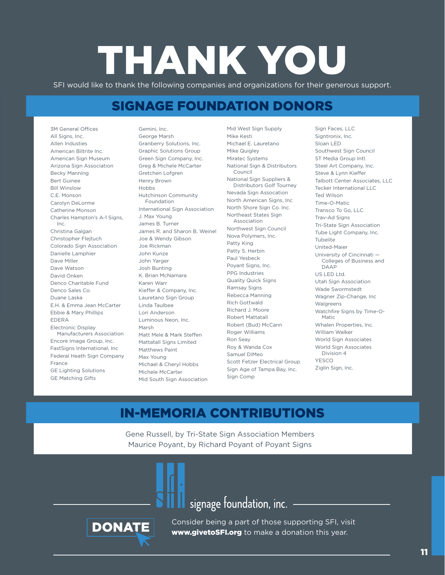### THANK YOU

SFI would like to thank the following companies and organizations for their generous support.

#### SIGNAGE FOUNDATION DONORS

3M General Offices All Signs, Inc. Allen Industies American Biltrite Inc. American Sign Museum Arizona Sign Association Becky Manning Bert Guinee Bill Winslow C.E. Monson Carolyn DeLorme Catherine Monson Charles Hampton's A-1 Signs, Inc. Christina Galgan Christopher Flejtuch Colorado Sign Association Danielle Lamphier Dave Miller Dave Watson David Onken Denco Charitable Fund Denco Sales Co. Duane Laska E.H. & Emma Jean McCarter Ebbie & Mary Phillips EDERA Electronic Display Manufacturers Association Encore Image Group, Inc. FastSigns International, Inc Federal Heath Sign Company France GE Lighting Solutions GE Matching Gifts

Gemini, Inc. George Marsh Granberry Solutions, Inc. Graphic Solutions Group Green Sign Company, Inc. Greg & Michele McCarter Gretchen Lofgren Henry Brown Hobbs Hutchinson Community Foundation International Sign Association J. Max Young James B. Turner James R. and Sharon B. Weinel Joe & Wendy Gibson Joe Rickman John Kunze John Yarger Josh Bunting K. Brian McNamara Karen Warr Kieffer & Company, Inc. Lauretano Sign Group Linda Taulbee Lori Anderson Luminous Neon, Inc. Marsh Matt Mele & Mark Steffen Mattatall Signs Limited Matthews Paint Max Young Michael & Cheryl Hobbs Michele McCarter Mid South Sign Association

Mid West Sign Supply Mike Kesti Michael E. Lauretano Mike Quigley Miratec Systems National Sign & Distributors Council National Sign Suppliers & Distributors Golf Tourney Nevada Sign Assocation North American Signs, Inc North Shore Sign Co. Inc. Northeast States Sign Association Northwest Sign Council Nova Polymers, Inc. Patty King Patty S. Herbin Paul Yesbeck Poyant Signs, Inc. PPG Industries Quality Quick Signs Ramsay Signs Rebecca Manning Rich Gottwald Richard J. Moore Robert Mattatall Robert (Bud) McCann Roger Williams Ron Seay Roy & Wanda Cox Samuel DiMeo Scott Fetzer Electrical Group Sign Age of Tampa Bay, Inc. Sign Comp

Sign Faces, LLC Signtronix, Inc. Sloan LED Southwest Sign Council ST Media Group Intl. Steel Art Company, Inc. Steve & Lynn Kieffer Talbott Center Associates, LLC Tecker International LLC Ted Wilson Time-O-Matic Transco To Go, LLC Trav-Ad Signs Tri-State Sign Association Tube Light Company, Inc. Tubelite United-Maier University of Cincinnati — Colleges of Business and DAAP US LED Ltd. Utah Sign Association Wade Swormstedt Wagner Zip-Change, Inc Walgreens Watchfire Signs by Time-O-Matic Whalen Properties, Inc. William Walker World Sign Associates World Sign Associates Division 4 YESCO Ziglin Sign, Inc.

#### IN-MEMORIA CONTRIBUTIONS

Gene Russell, by Tri-State Sign Association Members Maurice Poyant, by Richard Poyant of Poyant Signs



signage foundation, inc.

**DONATE** Consider being a part of those supporting SFI, visit www.givetoSFI.org to make a donation this year.